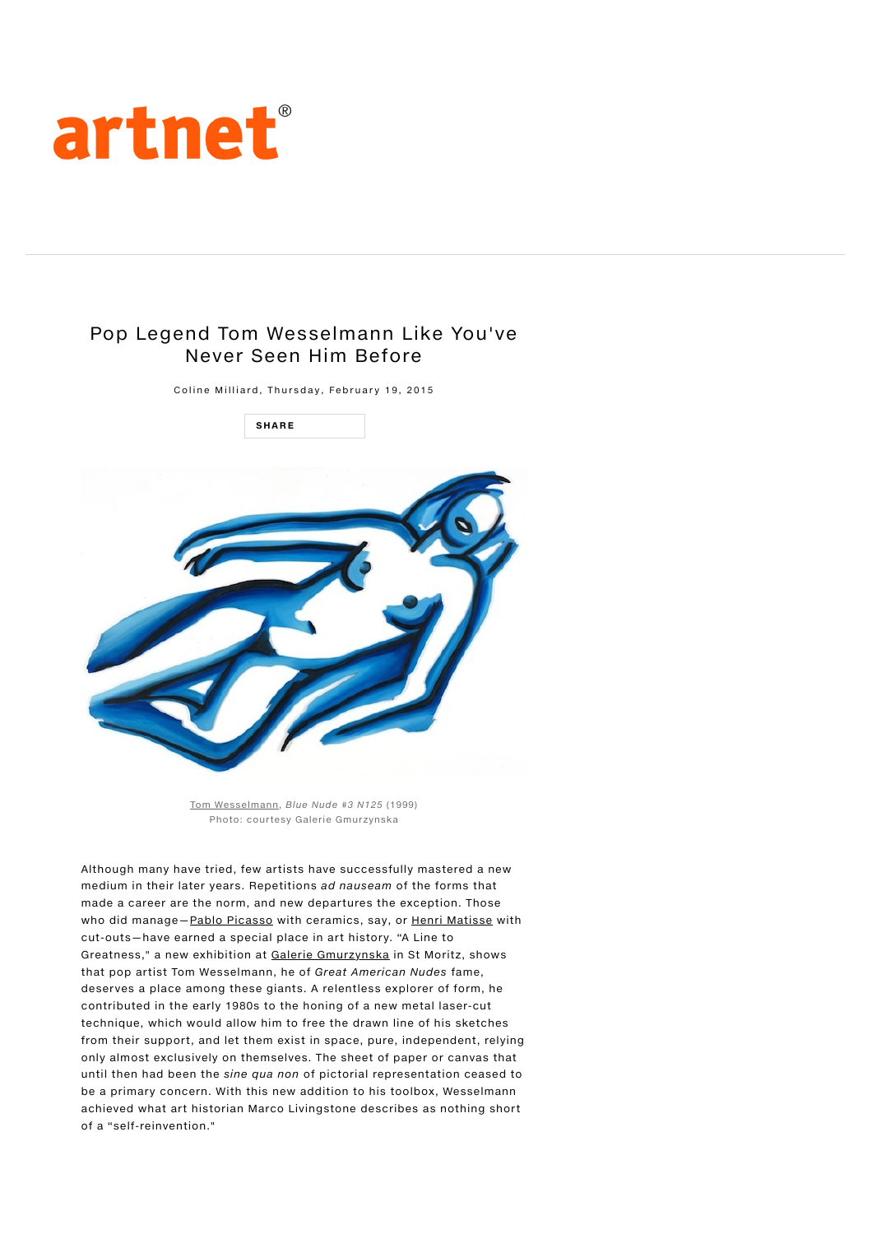

## Pop Legend Tom Wesselmann Like You've Never Seen Him Before

Coline Milliard, Thursday, February 19, 2015



Tom Wesselmann, Blue Nude #3 N125 (1999) Photo: courtesy Galerie Gmurzynska

Although many have tried, few artists have successfully mastered a new medium in their later years. Repetitions ad nauseam of the forms that made a career are the norm, and new departures the exception. Those who did manage-Pablo Picasso with ceramics, say, or Henri Matisse with cut-outs—have earned a special place in art history. "A Line to Greatness," a new exhibition at Galerie Gmurzynska in St Moritz, shows that pop artist Tom Wesselmann, he of Great American Nudes fame, deserves a place among these giants. A relentless explorer of form, he contributed in the early 1980s to the honing of a new metal laser-cut technique, which would allow him to free the drawn line of his sketches from their support, and let them exist in space, pure, independent, relying only almost exclusively on themselves. The sheet of paper or canvas that until then had been the sine qua non of pictorial representation ceased to be a primary concern. With this new addition to his toolbox, Wesselmann achieved what art historian Marco Livingstone describes as nothing short of a "self-reinvention."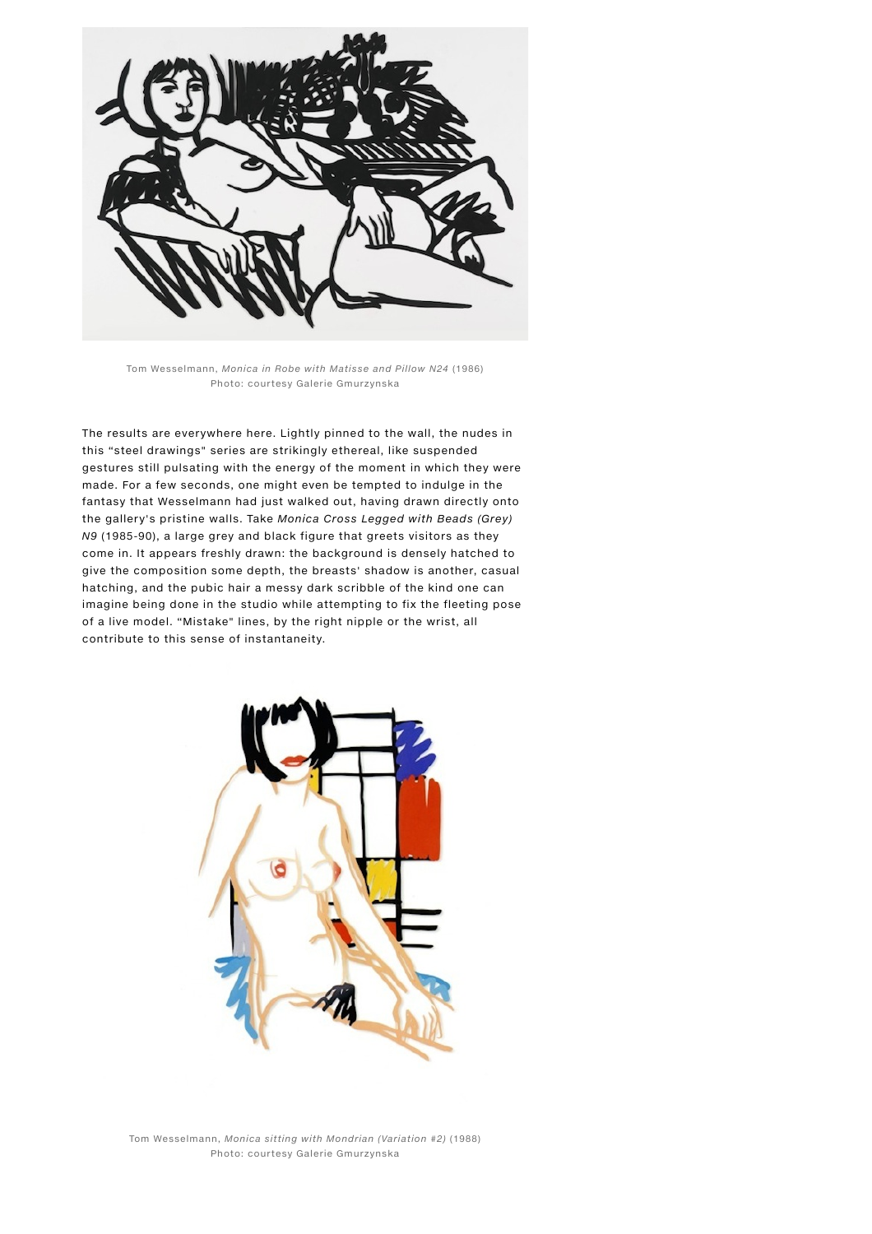

Tom Wesselmann, Monica in Robe with Matisse and Pillow N24 (1986) Photo: courtesy Galerie Gmurzynska

The results are everywhere here. Lightly pinned to the wall, the nudes in this "steel drawings" series are strikingly ethereal, like suspended gestures still pulsating with the energy of the moment in which they were made. For a few seconds, one might even be tempted to indulge in the fantasy that Wesselmann had just walked out, having drawn directly onto the gallery's pristine walls. Take Monica Cross Legged with Beads (Grey) N9 (1985-90), a large grey and black figure that greets visitors as they come in. It appears freshly drawn: the background is densely hatched to give the composition some depth, the breasts' shadow is another, casual hatching, and the pubic hair a messy dark scribble of the kind one can imagine being done in the studio while attempting to fix the fleeting pose of a live model. "Mistake" lines, by the right nipple or the wrist, all contribute to this sense of instantaneity.



Tom Wesselmann, Monica sitting with Mondrian (Variation #2) (1988) Photo: courtesy Galerie Gmurzynska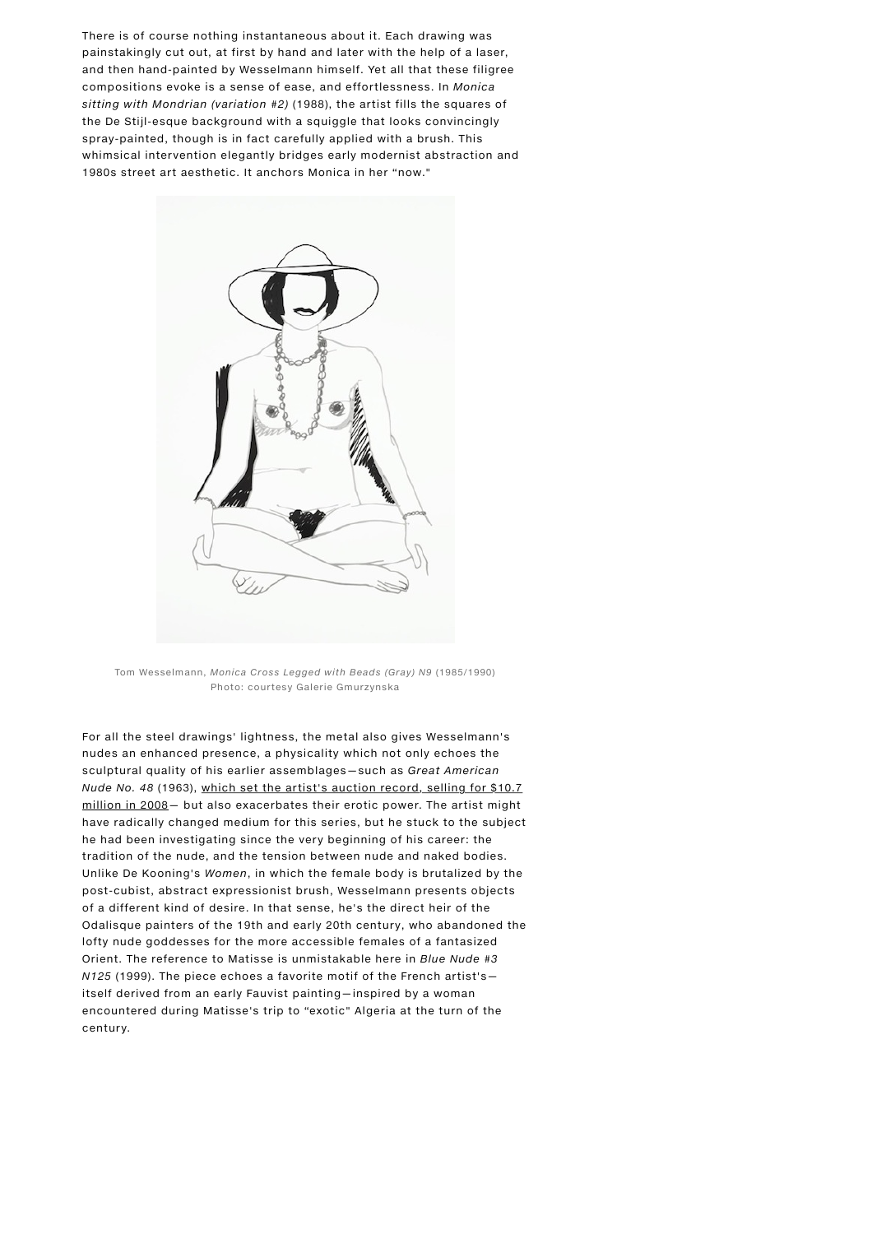There is of course nothing instantaneous about it. Each drawing was painstakingly cut out, at first by hand and later with the help of a laser, and then hand-painted by Wesselmann himself. Yet all that these filigree compositions evoke is a sense of ease, and effortlessness. In Monica sitting with Mondrian (variation #2) (1988), the artist fills the squares of the De Stijl-esque background with a squiggle that looks convincingly spray-painted, though is in fact carefully applied with a brush. This whimsical intervention elegantly bridges early modernist abstraction and 1980s street art aesthetic. It anchors Monica in her "now."



Tom Wesselmann, Monica Cross Legged with Beads (Gray) N9 (1985/1990) Photo: courtesy Galerie Gmurzynska

For all the steel drawings' lightness, the metal also gives Wesselmann's nudes an enhanced presence, a physicality which not only echoes the sculptural quality of his earlier assemblages—such as Great American Nude No. 48 (1963), which set the artist's auction record, selling for \$10.7 [million in 2008— but also exacerbates their erotic power. The artist might](http://news.artnet.com/market/art-market-analysis-reveals-tom-wesselmann-holds-hidden-value-for-collectors-253607) have radically changed medium for this series, but he stuck to the subject he had been investigating since the very beginning of his career: the tradition of the nude, and the tension between nude and naked bodies. Unlike De Kooning's Women, in which the female body is brutalized by the post-cubist, abstract expressionist brush, Wesselmann presents objects of a different kind of desire. In that sense, he's the direct heir of the Odalisque painters of the 19th and early 20th century, who abandoned the lofty nude goddesses for the more accessible females of a fantasized Orient. The reference to Matisse is unmistakable here in Blue Nude #3 N125 (1999). The piece echoes a favorite motif of the French artist's itself derived from an early Fauvist painting—inspired by a woman encountered during Matisse's trip to "exotic" Algeria at the turn of the century.